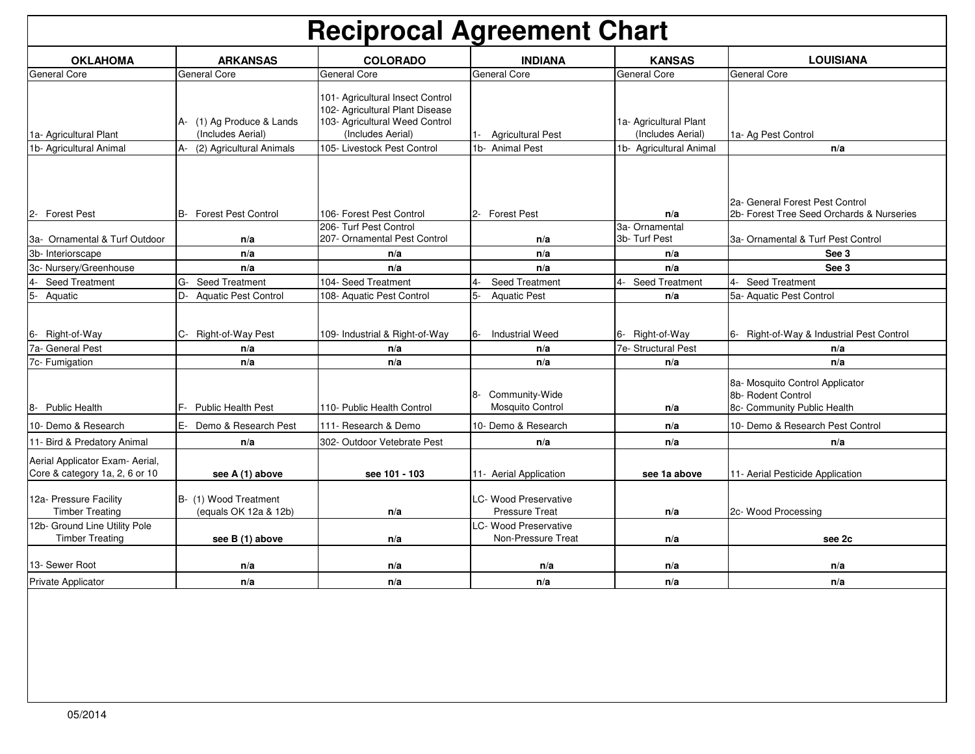| <b>LOUISIANA</b><br><b>COLORADO</b><br><b>INDIANA</b><br><b>KANSAS</b><br><b>OKLAHOMA</b><br><b>ARKANSAS</b>                                                                                                                                                                                             |  |
|----------------------------------------------------------------------------------------------------------------------------------------------------------------------------------------------------------------------------------------------------------------------------------------------------------|--|
| General Core<br><b>General Core</b><br><b>General Core</b><br>General Core<br>General Core<br>General Core                                                                                                                                                                                               |  |
| 101- Agricultural Insect Control<br>102- Agricultural Plant Disease<br>A- (1) Ag Produce & Lands<br>103- Agricultural Weed Control<br>1a- Agricultural Plant<br>(Includes Aerial)<br>(Includes Aerial)<br>(Includes Aerial)<br>1a- Agricultural Plant<br><b>Agricultural Pest</b><br>1a- Ag Pest Control |  |
| 1b- Animal Pest<br>1b- Agricultural Animal<br>A-<br>105- Livestock Pest Control<br>1b- Agricultural Animal<br>(2) Agricultural Animals<br>n/a                                                                                                                                                            |  |
| 2a- General Forest Pest Control<br>B- Forest Pest Control<br>2b- Forest Tree Seed Orchards & Nurseries<br>106- Forest Pest Control<br>2- Forest Pest<br>$2 -$<br><b>Forest Pest</b><br>n/a                                                                                                               |  |
| 3a- Ornamental<br>206- Turf Pest Control<br>207- Ornamental Pest Control<br>3b- Turf Pest<br>3a- Ornamental & Turf Outdoor<br>3a- Ornamental & Turf Pest Control<br>n/a<br>n/a                                                                                                                           |  |
| 3b- Interiorscape<br>n/a<br>See 3<br>n/a<br>n/a<br>n/a                                                                                                                                                                                                                                                   |  |
| See 3<br>3c- Nursery/Greenhouse<br>n/a<br>n/a<br>n/a<br>n/a                                                                                                                                                                                                                                              |  |
| $4-$<br>$G-$<br>104- Seed Treatment<br>Seed Treatment<br><b>Seed Treatment</b><br><b>Seed Treatment</b><br>$4-$<br>$4-$<br><b>Seed Treatment</b><br>$4-$<br><b>Seed Treatment</b>                                                                                                                        |  |
| $5-$<br>$D -$<br>5-<br><b>Aquatic Pest Control</b><br>108- Aquatic Pest Control<br>5a- Aquatic Pest Control<br>Aquatic<br><b>Aquatic Pest</b><br>n/a                                                                                                                                                     |  |
| C- Right-of-Way Pest<br>109- Industrial & Right-of-Way<br><b>Industrial Weed</b><br>6- Right-of-Way<br>6- Right-of-Way & Industrial Pest Control<br>6- Right-of-Way<br>6-                                                                                                                                |  |
| 7a- General Pest<br>7e- Structural Pest<br>n/a<br>n/a<br>n/a<br>n/a                                                                                                                                                                                                                                      |  |
| n/a<br>n/a<br>n/a<br>n/a<br>7c- Fumigation<br>n/a                                                                                                                                                                                                                                                        |  |
| 8a- Mosquito Control Applicator<br>8- Community-Wide<br>8b- Rodent Control<br>F-<br>110- Public Health Control<br><b>Mosquito Control</b><br>8- Public Health<br><b>Public Health Pest</b><br>8c- Community Public Health<br>n/a                                                                         |  |
| E- Demo & Research Pest<br>10- Demo & Research<br>10- Demo & Research<br>111- Research & Demo<br>n/a<br>10- Demo & Research Pest Control                                                                                                                                                                 |  |
| 11- Bird & Predatory Animal<br>n/a<br>302- Outdoor Vetebrate Pest<br>n/a<br>n/a<br>n/a                                                                                                                                                                                                                   |  |
| Aerial Applicator Exam- Aerial,<br>Core & category 1a, 2, 6 or 10<br>see A (1) above<br>see 101 - 103<br>11- Aerial Application<br>11- Aerial Pesticide Application<br>see 1a above                                                                                                                      |  |
| <b>LC- Wood Preservative</b><br>12a- Pressure Facility<br>B- (1) Wood Treatment<br><b>Pressure Treat</b><br><b>Timber Treating</b><br>(equals OK 12a & 12b)<br>2c- Wood Processing<br>n/a<br>n/a                                                                                                         |  |
| 12b- Ground Line Utility Pole<br><b>LC- Wood Preservative</b><br><b>Timber Treating</b><br>Non-Pressure Treat<br>see B (1) above<br>n/a<br>see 2c<br>n/a                                                                                                                                                 |  |
| 13- Sewer Root<br>n/a<br>n/a<br>n/a<br>n/a<br>n/a                                                                                                                                                                                                                                                        |  |
| Private Applicator<br>n/a<br>n/a<br>n/a<br>n/a<br>n/a                                                                                                                                                                                                                                                    |  |